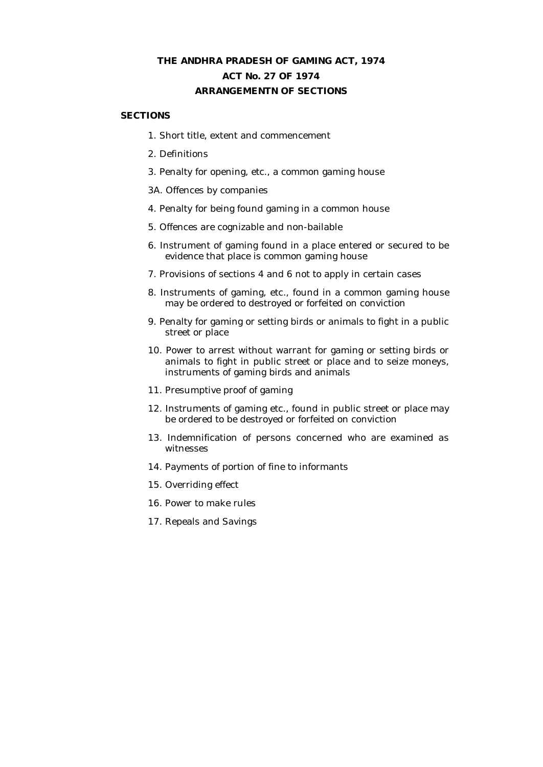# **THE ANDHRA PRADESH OF GAMING ACT, 1974 ACT No. 27 OF 1974 ARRANGEMENTN OF SECTIONS**

### **SECTIONS**

- 1. Short title, extent and commencement
- 2. Definitions
- 3. Penalty for opening, etc., a common gaming house

3A. Offences by companies

- 4. Penalty for being found gaming in a common house
- 5. Offences are cognizable and non-bailable
- 6. Instrument of gaming found in a place entered or secured to be evidence that place is common gaming house
- 7. Provisions of sections 4 and 6 not to apply in certain cases
- 8. Instruments of gaming, etc., found in a common gaming house may be ordered to destroyed or forfeited on conviction
- 9. Penalty for gaming or setting birds or animals to fight in a public street or place
- 10. Power to arrest without warrant for gaming or setting birds or animals to fight in public street or place and to seize moneys, instruments of gaming birds and animals
- 11. Presumptive proof of gaming
- 12. Instruments of gaming etc., found in public street or place may be ordered to be destroyed or forfeited on conviction
- 13. Indemnification of persons concerned who are examined as witnesses
- 14. Payments of portion of fine to informants
- 15. Overriding effect
- 16. Power to make rules
- 17. Repeals and Savings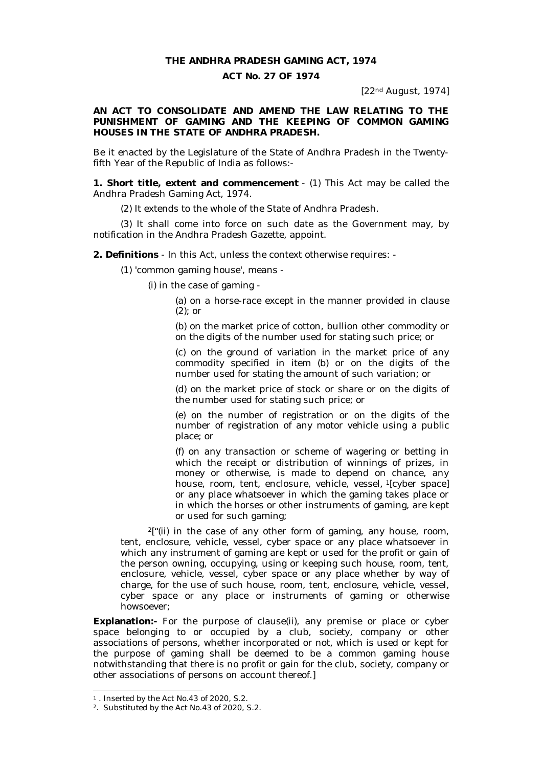#### **THE ANDHRA PRADESH GAMING ACT, 1974**

## **ACT No. 27 OF 1974**

[22nd August, 1974]

**AN ACT TO CONSOLIDATE AND AMEND THE LAW RELATING TO THE PUNISHMENT OF GAMING AND THE KEEPING OF COMMON GAMING HOUSES IN THE STATE OF ANDHRA PRADESH.**

Be it enacted by the Legislature of the State of Andhra Pradesh in the Twentyfifth Year of the Republic of India as follows:-

**1. Short title, extent and commencement** - (1) This Act may be called the Andhra Pradesh Gaming Act, 1974.

(2) It extends to the whole of the State of Andhra Pradesh.

(3) It shall come into force on such date as the Government may, by notification in the Andhra Pradesh Gazette, appoint.

**2. Definitions** - In this Act, unless the context otherwise requires: -

(1) 'common gaming house', means -

(i) in the case of gaming -

(a) on a horse-race except in the manner provided in clause (2); or

(b) on the market price of cotton, bullion other commodity or on the digits of the number used for stating such price; or

(c) on the ground of variation in the market price of any commodity specified in item (b) or on the digits of the number used for stating the amount of such variation; or

(d) on the market price of stock or share or on the digits of the number used for stating such price; or

(e) on the number of registration or on the digits of the number of registration of any motor vehicle using a public place; or

(f) on any transaction or scheme of wagering or betting in which the receipt or distribution of winnings of prizes, in money or otherwise, is made to depend on chance, any house, room, tent, enclosure, vehicle, vessel, <sup>1</sup>[cyber space] or any place whatsoever in which the gaming takes place or in which the horses or other instruments of gaming, are kept or used for such gaming;

 $2$ ["(ii) in the case of any other form of gaming, any house, room, tent, enclosure, vehicle, vessel, cyber space or any place whatsoever in which any instrument of gaming are kept or used for the profit or gain of the person owning, occupying, using or keeping such house, room, tent, enclosure, vehicle, vessel, cyber space or any place whether by way of charge, for the use of such house, room, tent, enclosure, vehicle, vessel, cyber space or any place or instruments of gaming or otherwise howsoever;

**Explanation:-** For the purpose of clause(ii), any premise or place or cyber space belonging to or occupied by a club, society, company or other associations of persons, whether incorporated or not, which is used or kept for the purpose of gaming shall be deemed to be a common gaming house notwithstanding that there is no profit or gain for the club, society, company or other associations of persons on account thereof.]

<sup>1</sup> . Inserted by the Act No.43 of 2020, S.2.

<sup>2</sup>. Substituted by the Act No.43 of 2020, S.2.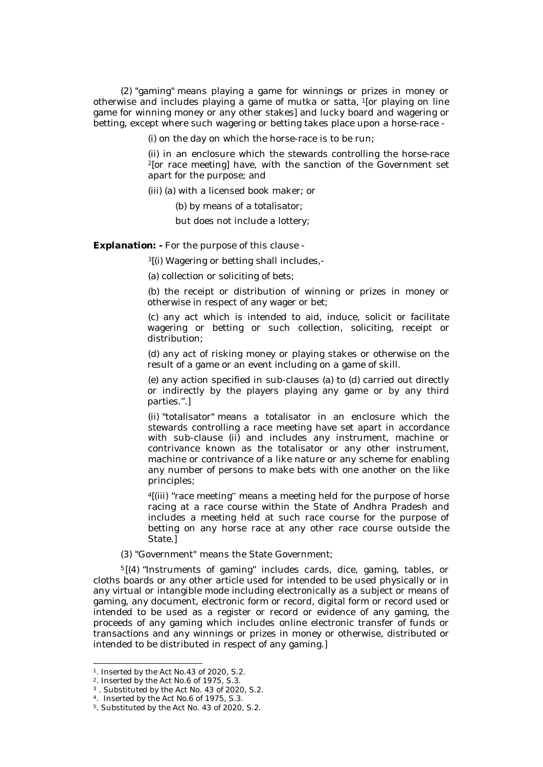(2) "gaming" means playing a game for winnings or prizes in money or otherwise and includes playing a game of mutka or satta, <sup>1</sup>[or playing on line game for winning money or any other stakes] and lucky board and wagering or betting, except where such wagering or betting takes place upon a horse-race -

(i) on the day on which the horse-race is to be run;

(ii) in an enclosure which the stewards controlling the horse-race <sup>2</sup>[or race meeting] have, with the sanction of the Government set apart for the purpose; and

(iii) (a) with a licensed book maker; or

(b) by means of a totalisator;

but does not include a lottery;

*Explanation:* **-** For the purpose of this clause -

<sup>3</sup>[(i) Wagering or betting shall includes,-

(a) collection or soliciting of bets;

(b) the receipt or distribution of winning or prizes in money or otherwise in respect of any wager or bet;

(c) any act which is intended to aid, induce, solicit or facilitate wagering or betting or such collection, soliciting, receipt or distribution;

(d) any act of risking money or playing stakes or otherwise on the result of a game or an event including on a game of skill.

(e) any action specified in sub-clauses (a) to (d) carried out directly or indirectly by the players playing any game or by any third parties.".]

(ii) "totalisator" means a totalisator in an enclosure which the stewards controlling a race meeting have set apart in accordance with sub-clause (ii) and includes any instrument, machine or contrivance known as the totalisator or any other instrument, machine or contrivance of a like nature or any scheme for enabling any number of persons to make bets with one another on the like principles;

<sup>4</sup>[(iii) "race meeting" means a meeting held for the purpose of horse racing at a race course within the State of Andhra Pradesh and includes a meeting held at such race course for the purpose of betting on any horse race at any other race course outside the State.]

#### (3) "Government" means the State Government;

<sup>5</sup> [(4) "Instruments of gaming" includes cards, dice, gaming, tables, or cloths boards or any other article used for intended to be used physically or in any virtual or intangible mode including electronically as a subject or means of gaming, any document, electronic form or record, digital form or record used or intended to be used as a register or record or evidence of any gaming, the proceeds of any gaming which includes online electronic transfer of funds or transactions and any winnings or prizes in money or otherwise, distributed or intended to be distributed in respect of any gaming.]

<sup>1</sup>. Inserted by the Act No.43 of 2020, S.2.

<sup>2</sup>. Inserted by the Act No.6 of 1975, S.3.

<sup>3</sup> . Substituted by the Act No. 43 of 2020, S.2.

<sup>4</sup>. Inserted by the Act No.6 of 1975, S.3.

<sup>5</sup>. Substituted by the Act No. 43 of 2020, S.2.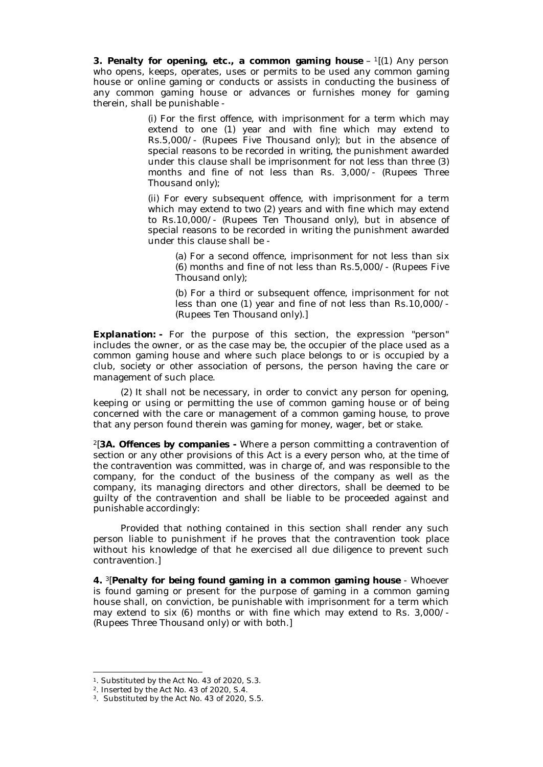**3. Penalty for opening, etc., a common gaming house** – <sup>1</sup>[(1) Any person who opens, keeps, operates, uses or permits to be used any common gaming house or online gaming or conducts or assists in conducting the business of any common gaming house or advances or furnishes money for gaming therein, shall be punishable -

> (i) For the first offence, with imprisonment for a term which may extend to one (1) year and with fine which may extend to Rs.5,000/- (Rupees Five Thousand only); but in the absence of special reasons to be recorded in writing, the punishment awarded under this clause shall be imprisonment for not less than three (3) months and fine of not less than Rs. 3,000/- (Rupees Three Thousand only);

> (ii) For every subsequent offence, with imprisonment for a term which may extend to two (2) years and with fine which may extend to Rs.10,000/- (Rupees Ten Thousand only), but in absence of special reasons to be recorded in writing the punishment awarded under this clause shall be -

(a) For a second offence, imprisonment for not less than six (6) months and fine of not less than Rs.5,000/- (Rupees Five Thousand only);

(b) For a third or subsequent offence, imprisonment for not less than one (1) year and fine of not less than Rs.10,000/- (Rupees Ten Thousand only).]

*Explanation:* **-** For the purpose of this section, the expression "person" includes the owner, or as the case may be, the occupier of the place used as a common gaming house and where such place belongs to or is occupied by a club, society or other association of persons, the person having the care or management of such place.

(2) It shall not be necessary, in order to convict any person for opening, keeping or using or permitting the use of common gaming house or of being concerned with the care or management of a common gaming house, to prove that any person found therein was gaming for money, wager, bet or stake.

<sup>2</sup>[**3A. Offences by companies -** Where a person committing a contravention of section or any other provisions of this Act is a every person who, at the time of the contravention was committed, was in charge of, and was responsible to the company, for the conduct of the business of the company as well as the company, its managing directors and other directors, shall be deemed to be guilty of the contravention and shall be liable to be proceeded against and punishable accordingly:

Provided that nothing contained in this section shall render any such person liable to punishment if he proves that the contravention took place without his knowledge of that he exercised all due diligence to prevent such contravention.]

**4.** <sup>3</sup>[**Penalty for being found gaming in a common gaming house** - Whoever is found gaming or present for the purpose of gaming in a common gaming house shall, on conviction, be punishable with imprisonment for a term which may extend to six (6) months or with fine which may extend to Rs. 3,000/- (Rupees Three Thousand only) or with both.]

<sup>1</sup>. Substituted by the Act No. 43 of 2020, S.3.

<sup>2</sup>. Inserted by the Act No. 43 of 2020, S.4.

<sup>3</sup>. Substituted by the Act No. 43 of 2020, S.5.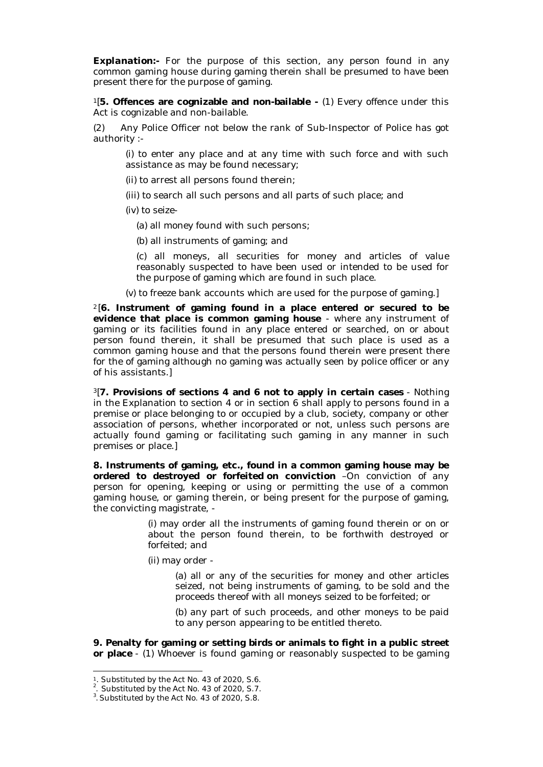*Explanation:***-** For the purpose of this section, any person found in any common gaming house during gaming therein shall be presumed to have been present there for the purpose of gaming.

<sup>1</sup>[**5. Offences are cognizable and non-bailable -** (1) Every offence under this Act is cognizable and non-bailable.

(2) Any Police Officer not below the rank of Sub-Inspector of Police has got authority :-

(i) to enter any place and at any time with such force and with such assistance as may be found necessary;

(ii) to arrest all persons found therein;

(iii) to search all such persons and all parts of such place; and

(iv) to seize-

(a) all money found with such persons;

(b) all instruments of gaming; and

(c) all moneys, all securities for money and articles of value reasonably suspected to have been used or intended to be used for the purpose of gaming which are found in such place.

(v) to freeze bank accounts which are used for the purpose of gaming.]

<sup>2</sup> [**6. Instrument of gaming found in a place entered or secured to be evidence that place is common gaming house** - where any instrument of gaming or its facilities found in any place entered or searched, on or about person found therein, it shall be presumed that such place is used as a common gaming house and that the persons found therein were present there for the of gaming although no gaming was actually seen by police officer or any of his assistants.]

<sup>3</sup>[**7. Provisions of sections 4 and 6 not to apply in certain cases** - Nothing in the Explanation to section 4 or in section 6 shall apply to persons found in a premise or place belonging to or occupied by a club, society, company or other association of persons, whether incorporated or not, unless such persons are actually found gaming or facilitating such gaming in any manner in such premises or place.]

**8. Instruments of gaming, etc., found in a common gaming house may be ordered to destroyed or forfeited on conviction** –On conviction of any person for opening, keeping or using or permitting the use of a common gaming house, or gaming therein, or being present for the purpose of gaming, the convicting magistrate, -

> (i) may order all the instruments of gaming found therein or on or about the person found therein, to be forthwith destroyed or forfeited; and

(ii) may order -

(a) all or any of the securities for money and other articles seized, not being instruments of gaming, to be sold and the proceeds thereof with all moneys seized to be forfeited; or

(b) any part of such proceeds, and other moneys to be paid to any person appearing to be entitled thereto.

**9. Penalty for gaming or setting birds or animals to fight in a public street or place** - (1) Whoever is found gaming or reasonably suspected to be gaming

<sup>1</sup>. Substituted by the Act No. 43 of 2020, S.6.

 $2$ . Substituted by the Act No. 43 of 2020, S.7.

<sup>&</sup>lt;sup>3</sup>. Substituted by the Act No. 43 of 2020, S.8.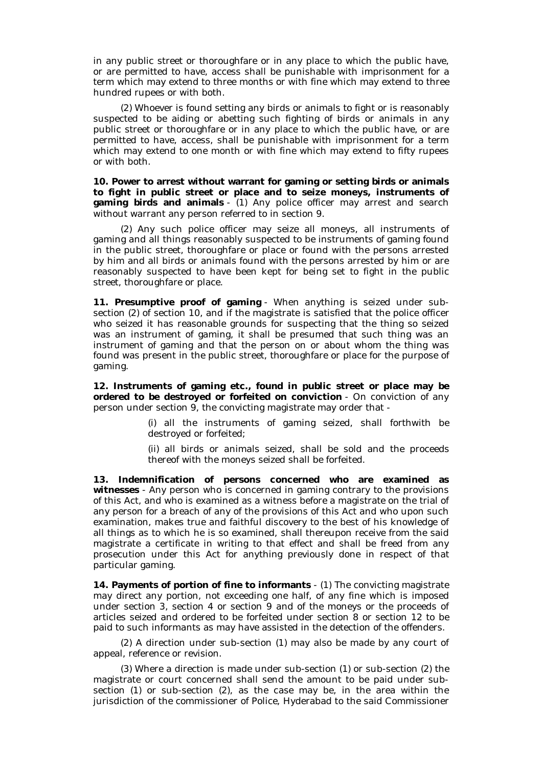in any public street or thoroughfare or in any place to which the public have, or are permitted to have, access shall be punishable with imprisonment for a term which may extend to three months or with fine which may extend to three hundred rupees or with both.

(2) Whoever is found setting any birds or animals to fight or is reasonably suspected to be aiding or abetting such fighting of birds or animals in any public street or thoroughfare or in any place to which the public have, or are permitted to have, access, shall be punishable with imprisonment for a term which may extend to one month or with fine which may extend to fifty rupees or with both.

**10. Power to arrest without warrant for gaming or setting birds or animals to fight in public street or place and to seize moneys, instruments of gaming birds and animals** - (1) Any police officer may arrest and search without warrant any person referred to in section 9.

(2) Any such police officer may seize all moneys, all instruments of gaming and all things reasonably suspected to be instruments of gaming found in the public street, thoroughfare or place or found with the persons arrested by him and all birds or animals found with the persons arrested by him or are reasonably suspected to have been kept for being set to fight in the public street, thoroughfare or place.

**11. Presumptive proof of gaming** - When anything is seized under subsection (2) of section 10, and if the magistrate is satisfied that the police officer who seized it has reasonable grounds for suspecting that the thing so seized was an instrument of gaming, it shall be presumed that such thing was an instrument of gaming and that the person on or about whom the thing was found was present in the public street, thoroughfare or place for the purpose of gaming.

**12. Instruments of gaming etc., found in public street or place may be ordered to be destroyed or forfeited on conviction** - On conviction of any person under section 9, the convicting magistrate may order that -

> (i) all the instruments of gaming seized, shall forthwith be destroyed or forfeited;

> (ii) all birds or animals seized, shall be sold and the proceeds thereof with the moneys seized shall be forfeited.

**13. Indemnification of persons concerned who are examined as witnesses** - Any person who is concerned in gaming contrary to the provisions of this Act, and who is examined as a witness before a magistrate on the trial of any person for a breach of any of the provisions of this Act and who upon such examination, makes true and faithful discovery to the best of his knowledge of all things as to which he is so examined, shall thereupon receive from the said magistrate a certificate in writing to that effect and shall be freed from any prosecution under this Act for anything previously done in respect of that particular gaming.

**14. Payments of portion of fine to informants** - (1) The convicting magistrate may direct any portion, not exceeding one half, of any fine which is imposed under section 3, section 4 or section 9 and of the moneys or the proceeds of articles seized and ordered to be forfeited under section 8 or section 12 to be paid to such informants as may have assisted in the detection of the offenders.

(2) A direction under sub-section (1) may also be made by any court of appeal, reference or revision.

(3) Where a direction is made under sub-section (1) or sub-section (2) the magistrate or court concerned shall send the amount to be paid under subsection (1) or sub-section (2), as the case may be, in the area within the jurisdiction of the commissioner of Police, Hyderabad to the said Commissioner